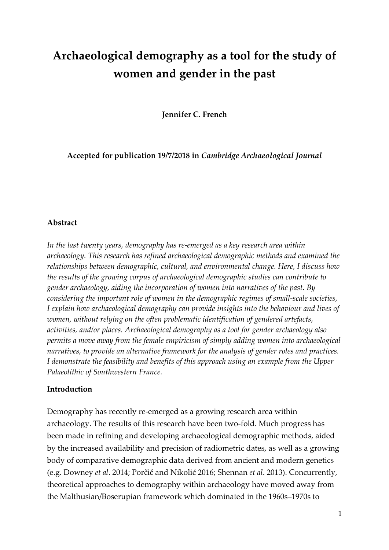# **Archaeological demography as a tool for the study of women and gender in the past**

**Jennifer C. French**

**Accepted for publication 19/7/2018 in** *Cambridge Archaeological Journal*

## **Abstract**

*In the last twenty years, demography has re-emerged as a key research area within archaeology. This research has refined archaeological demographic methods and examined the relationships between demographic, cultural, and environmental change. Here, I discuss how the results of the growing corpus of archaeological demographic studies can contribute to gender archaeology, aiding the incorporation of women into narratives of the past. By considering the important role of women in the demographic regimes of small-scale societies, I explain how archaeological demography can provide insights into the behaviour and lives of women, without relying on the often problematic identification of gendered artefacts, activities, and/or places. Archaeological demography as a tool for gender archaeology also permits a move away from the female empiricism of simply adding women into archaeological narratives, to provide an alternative framework for the analysis of gender roles and practices. I demonstrate the feasibility and benefits of this approach using an example from the Upper Palaeolithic of Southwestern France.* 

## **Introduction**

Demography has recently re-emerged as a growing research area within archaeology. The results of this research have been two-fold. Much progress has been made in refining and developing archaeological demographic methods, aided by the increased availability and precision of radiometric dates, as well as a growing body of comparative demographic data derived from ancient and modern genetics (e.g. Downey *et al*. 2014; Porčič and Nikolić 2016; Shennan *et al*. 2013). Concurrently, theoretical approaches to demography within archaeology have moved away from the Malthusian/Boserupian framework which dominated in the 1960s–1970s to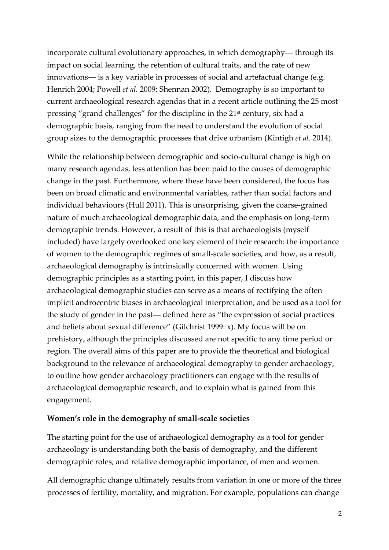incorporate cultural evolutionary approaches, in which demography― through its impact on social learning, the retention of cultural traits, and the rate of new innovations― is a key variable in processes of social and artefactual change (e.g. Henrich 2004; Powell *et al.* 2009; Shennan 2002). Demography is so important to current archaeological research agendas that in a recent article outlining the 25 most pressing "grand challenges" for the discipline in the 21st century, six had a demographic basis, ranging from the need to understand the evolution of social group sizes to the demographic processes that drive urbanism (Kintigh *et al.* 2014).

While the relationship between demographic and socio-cultural change is high on many research agendas, less attention has been paid to the causes of demographic change in the past. Furthermore, where these have been considered, the focus has been on broad climatic and environmental variables, rather than social factors and individual behaviours (Hull 2011). This is unsurprising, given the coarse-grained nature of much archaeological demographic data, and the emphasis on long-term demographic trends. However, a result of this is that archaeologists (myself included) have largely overlooked one key element of their research: the importance of women to the demographic regimes of small-scale societies, and how, as a result, archaeological demography is intrinsically concerned with women. Using demographic principles as a starting point, in this paper, I discuss how archaeological demographic studies can serve as a means of rectifying the often implicit androcentric biases in archaeological interpretation, and be used as a tool for the study of gender in the past― defined here as "the expression of social practices and beliefs about sexual difference" (Gilchrist 1999: x). My focus will be on prehistory, although the principles discussed are not specific to any time period or region. The overall aims of this paper are to provide the theoretical and biological background to the relevance of archaeological demography to gender archaeology, to outline how gender archaeology practitioners can engage with the results of archaeological demographic research, and to explain what is gained from this engagement.

#### **Women's role in the demography of small-scale societies**

The starting point for the use of archaeological demography as a tool for gender archaeology is understanding both the basis of demography, and the different demographic roles, and relative demographic importance, of men and women.

All demographic change ultimately results from variation in one or more of the three processes of fertility, mortality, and migration. For example, populations can change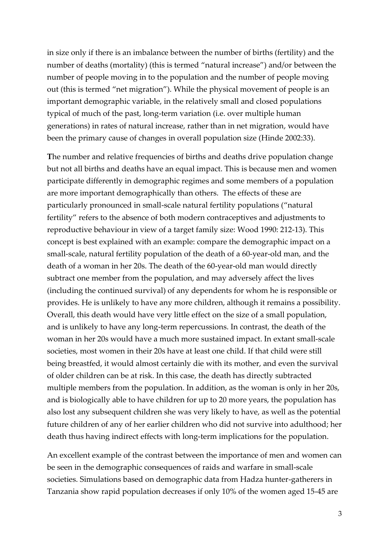in size only if there is an imbalance between the number of births (fertility) and the number of deaths (mortality) (this is termed "natural increase") and/or between the number of people moving in to the population and the number of people moving out (this is termed "net migration"). While the physical movement of people is an important demographic variable, in the relatively small and closed populations typical of much of the past, long-term variation (i.e. over multiple human generations) in rates of natural increase, rather than in net migration, would have been the primary cause of changes in overall population size (Hinde 2002:33).

**T**he number and relative frequencies of births and deaths drive population change but not all births and deaths have an equal impact. This is because men and women participate differently in demographic regimes and some members of a population are more important demographically than others. The effects of these are particularly pronounced in small-scale natural fertility populations ("natural fertility" refers to the absence of both modern contraceptives and adjustments to reproductive behaviour in view of a target family size: Wood 1990: 212-13). This concept is best explained with an example: compare the demographic impact on a small-scale, natural fertility population of the death of a 60-year-old man, and the death of a woman in her 20s. The death of the 60-year-old man would directly subtract one member from the population, and may adversely affect the lives (including the continued survival) of any dependents for whom he is responsible or provides. He is unlikely to have any more children, although it remains a possibility. Overall, this death would have very little effect on the size of a small population, and is unlikely to have any long-term repercussions. In contrast, the death of the woman in her 20s would have a much more sustained impact. In extant small-scale societies, most women in their 20s have at least one child. If that child were still being breastfed, it would almost certainly die with its mother, and even the survival of older children can be at risk. In this case, the death has directly subtracted multiple members from the population. In addition, as the woman is only in her 20s, and is biologically able to have children for up to 20 more years, the population has also lost any subsequent children she was very likely to have, as well as the potential future children of any of her earlier children who did not survive into adulthood; her death thus having indirect effects with long-term implications for the population.

An excellent example of the contrast between the importance of men and women can be seen in the demographic consequences of raids and warfare in small-scale societies. Simulations based on demographic data from Hadza hunter-gatherers in Tanzania show rapid population decreases if only 10% of the women aged 15-45 are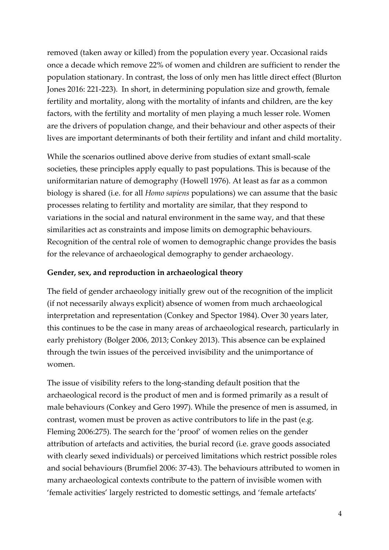removed (taken away or killed) from the population every year. Occasional raids once a decade which remove 22% of women and children are sufficient to render the population stationary. In contrast, the loss of only men has little direct effect (Blurton Jones 2016: 221-223). In short, in determining population size and growth, female fertility and mortality, along with the mortality of infants and children, are the key factors, with the fertility and mortality of men playing a much lesser role. Women are the drivers of population change, and their behaviour and other aspects of their lives are important determinants of both their fertility and infant and child mortality.

While the scenarios outlined above derive from studies of extant small-scale societies, these principles apply equally to past populations. This is because of the uniformitarian nature of demography (Howell 1976). At least as far as a common biology is shared (i.e. for all *Homo sapiens* populations) we can assume that the basic processes relating to fertility and mortality are similar, that they respond to variations in the social and natural environment in the same way, and that these similarities act as constraints and impose limits on demographic behaviours. Recognition of the central role of women to demographic change provides the basis for the relevance of archaeological demography to gender archaeology.

#### **Gender, sex, and reproduction in archaeological theory**

The field of gender archaeology initially grew out of the recognition of the implicit (if not necessarily always explicit) absence of women from much archaeological interpretation and representation (Conkey and Spector 1984). Over 30 years later, this continues to be the case in many areas of archaeological research, particularly in early prehistory (Bolger 2006, 2013; Conkey 2013). This absence can be explained through the twin issues of the perceived invisibility and the unimportance of women.

The issue of visibility refers to the long-standing default position that the archaeological record is the product of men and is formed primarily as a result of male behaviours (Conkey and Gero 1997). While the presence of men is assumed, in contrast, women must be proven as active contributors to life in the past (e.g. Fleming 2006:275). The search for the 'proof' of women relies on the gender attribution of artefacts and activities, the burial record (i.e. grave goods associated with clearly sexed individuals) or perceived limitations which restrict possible roles and social behaviours (Brumfiel 2006: 37-43). The behaviours attributed to women in many archaeological contexts contribute to the pattern of invisible women with 'female activities' largely restricted to domestic settings, and 'female artefacts'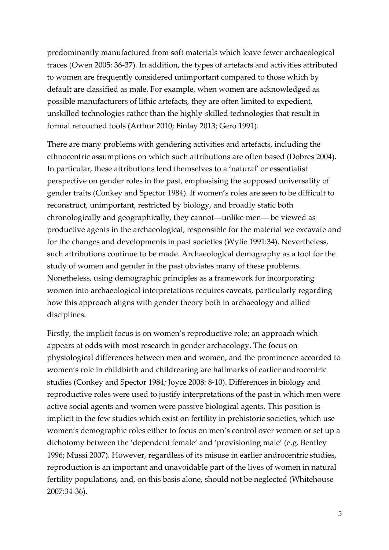predominantly manufactured from soft materials which leave fewer archaeological traces (Owen 2005: 36-37). In addition, the types of artefacts and activities attributed to women are frequently considered unimportant compared to those which by default are classified as male. For example, when women are acknowledged as possible manufacturers of lithic artefacts, they are often limited to expedient, unskilled technologies rather than the highly-skilled technologies that result in formal retouched tools (Arthur 2010; Finlay 2013; Gero 1991).

There are many problems with gendering activities and artefacts, including the ethnocentric assumptions on which such attributions are often based (Dobres 2004). In particular, these attributions lend themselves to a 'natural' or essentialist perspective on gender roles in the past, emphasising the supposed universality of gender traits (Conkey and Spector 1984). If women's roles are seen to be difficult to reconstruct, unimportant, restricted by biology, and broadly static both chronologically and geographically, they cannot―unlike men― be viewed as productive agents in the archaeological, responsible for the material we excavate and for the changes and developments in past societies (Wylie 1991:34). Nevertheless, such attributions continue to be made. Archaeological demography as a tool for the study of women and gender in the past obviates many of these problems. Nonetheless, using demographic principles as a framework for incorporating women into archaeological interpretations requires caveats, particularly regarding how this approach aligns with gender theory both in archaeology and allied disciplines.

Firstly, the implicit focus is on women's reproductive role; an approach which appears at odds with most research in gender archaeology. The focus on physiological differences between men and women, and the prominence accorded to women's role in childbirth and childrearing are hallmarks of earlier androcentric studies (Conkey and Spector 1984; Joyce 2008: 8-10). Differences in biology and reproductive roles were used to justify interpretations of the past in which men were active social agents and women were passive biological agents. This position is implicit in the few studies which exist on fertility in prehistoric societies, which use women's demographic roles either to focus on men's control over women or set up a dichotomy between the 'dependent female' and 'provisioning male' (e.g. Bentley 1996; Mussi 2007). However, regardless of its misuse in earlier androcentric studies, reproduction is an important and unavoidable part of the lives of women in natural fertility populations, and, on this basis alone, should not be neglected (Whitehouse 2007:34-36).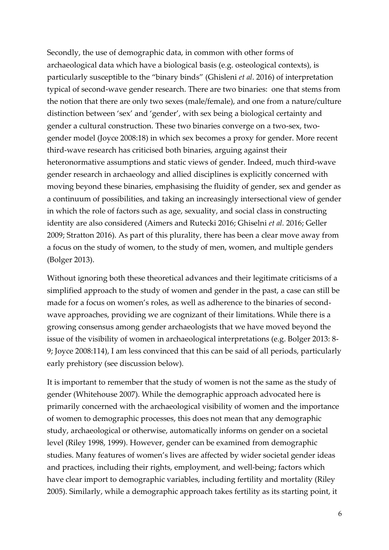Secondly, the use of demographic data, in common with other forms of archaeological data which have a biological basis (e.g. osteological contexts), is particularly susceptible to the "binary binds" (Ghisleni *et al*. 2016) of interpretation typical of second-wave gender research. There are two binaries: one that stems from the notion that there are only two sexes (male/female), and one from a nature/culture distinction between 'sex' and 'gender', with sex being a biological certainty and gender a cultural construction. These two binaries converge on a two-sex, twogender model (Joyce 2008:18) in which sex becomes a proxy for gender. More recent third-wave research has criticised both binaries, arguing against their heteronormative assumptions and static views of gender. Indeed, much third-wave gender research in archaeology and allied disciplines is explicitly concerned with moving beyond these binaries, emphasising the fluidity of gender, sex and gender as a continuum of possibilities, and taking an increasingly intersectional view of gender in which the role of factors such as age, sexuality, and social class in constructing identity are also considered (Aimers and Rutecki 2016; Ghiselni *et al.* 2016; Geller 2009; Stratton 2016). As part of this plurality, there has been a clear move away from a focus on the study of women, to the study of men, women, and multiple genders (Bolger 2013).

Without ignoring both these theoretical advances and their legitimate criticisms of a simplified approach to the study of women and gender in the past, a case can still be made for a focus on women's roles, as well as adherence to the binaries of secondwave approaches, providing we are cognizant of their limitations. While there is a growing consensus among gender archaeologists that we have moved beyond the issue of the visibility of women in archaeological interpretations (e.g. Bolger 2013: 8- 9; Joyce 2008:114), I am less convinced that this can be said of all periods, particularly early prehistory (see discussion below).

It is important to remember that the study of women is not the same as the study of gender (Whitehouse 2007). While the demographic approach advocated here is primarily concerned with the archaeological visibility of women and the importance of women to demographic processes, this does not mean that any demographic study, archaeological or otherwise, automatically informs on gender on a societal level (Riley 1998, 1999). However, gender can be examined from demographic studies. Many features of women's lives are affected by wider societal gender ideas and practices, including their rights, employment, and well-being; factors which have clear import to demographic variables, including fertility and mortality (Riley 2005). Similarly, while a demographic approach takes fertility as its starting point, it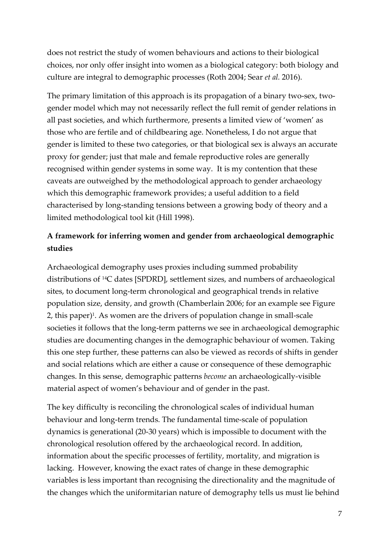does not restrict the study of women behaviours and actions to their biological choices, nor only offer insight into women as a biological category: both biology and culture are integral to demographic processes (Roth 2004; Sear *et al.* 2016).

The primary limitation of this approach is its propagation of a binary two-sex, twogender model which may not necessarily reflect the full remit of gender relations in all past societies, and which furthermore, presents a limited view of 'women' as those who are fertile and of childbearing age. Nonetheless, I do not argue that gender is limited to these two categories, or that biological sex is always an accurate proxy for gender; just that male and female reproductive roles are generally recognised within gender systems in some way. It is my contention that these caveats are outweighed by the methodological approach to gender archaeology which this demographic framework provides; a useful addition to a field characterised by long-standing tensions between a growing body of theory and a limited methodological tool kit (Hill 1998).

## **A framework for inferring women and gender from archaeological demographic studies**

Archaeological demography uses proxies including summed probability distributions of 14C dates [SPDRD], settlement sizes, and numbers of archaeological sites, to document long-term chronological and geographical trends in relative population size, density, and growth (Chamberlain 2006; for an example see Figure 2, this paper) 1 . As women are the drivers of population change in small-scale societies it follows that the long-term patterns we see in archaeological demographic studies are documenting changes in the demographic behaviour of women. Taking this one step further, these patterns can also be viewed as records of shifts in gender and social relations which are either a cause or consequence of these demographic changes. In this sense, demographic patterns *become* an archaeologically-visible material aspect of women's behaviour and of gender in the past.

The key difficulty is reconciling the chronological scales of individual human behaviour and long-term trends. The fundamental time-scale of population dynamics is generational (20-30 years) which is impossible to document with the chronological resolution offered by the archaeological record. In addition, information about the specific processes of fertility, mortality, and migration is lacking. However, knowing the exact rates of change in these demographic variables is less important than recognising the directionality and the magnitude of the changes which the uniformitarian nature of demography tells us must lie behind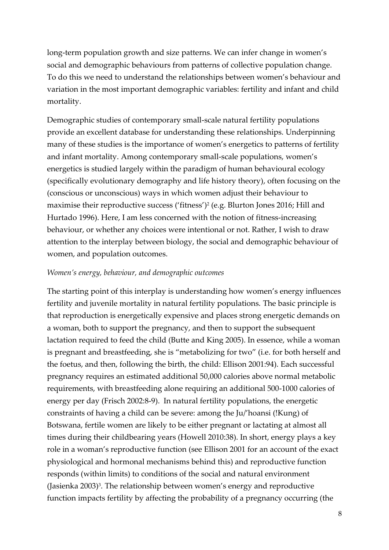long-term population growth and size patterns. We can infer change in women's social and demographic behaviours from patterns of collective population change. To do this we need to understand the relationships between women's behaviour and variation in the most important demographic variables: fertility and infant and child mortality.

Demographic studies of contemporary small-scale natural fertility populations provide an excellent database for understanding these relationships. Underpinning many of these studies is the importance of women's energetics to patterns of fertility and infant mortality. Among contemporary small-scale populations, women's energetics is studied largely within the paradigm of human behavioural ecology (specifically evolutionary demography and life history theory), often focusing on the (conscious or unconscious) ways in which women adjust their behaviour to maximise their reproductive success ('fitness')<sup>2</sup> (e.g. Blurton Jones 2016; Hill and Hurtado 1996). Here, I am less concerned with the notion of fitness-increasing behaviour, or whether any choices were intentional or not. Rather, I wish to draw attention to the interplay between biology, the social and demographic behaviour of women, and population outcomes.

#### *Women's energy, behaviour, and demographic outcomes*

The starting point of this interplay is understanding how women's energy influences fertility and juvenile mortality in natural fertility populations. The basic principle is that reproduction is energetically expensive and places strong energetic demands on a woman, both to support the pregnancy, and then to support the subsequent lactation required to feed the child (Butte and King 2005). In essence, while a woman is pregnant and breastfeeding, she is "metabolizing for two" (i.e. for both herself and the foetus, and then, following the birth, the child: Ellison 2001:94). Each successful pregnancy requires an estimated additional 50,000 calories above normal metabolic requirements, with breastfeeding alone requiring an additional 500-1000 calories of energy per day (Frisch 2002:8-9). In natural fertility populations, the energetic constraints of having a child can be severe: among the Ju/'hoansi (!Kung) of Botswana, fertile women are likely to be either pregnant or lactating at almost all times during their childbearing years (Howell 2010:38). In short, energy plays a key role in a woman's reproductive function (see Ellison 2001 for an account of the exact physiological and hormonal mechanisms behind this) and reproductive function responds (within limits) to conditions of the social and natural environment (Jasienka 2003)<sup>3</sup>. The relationship between women's energy and reproductive function impacts fertility by affecting the probability of a pregnancy occurring (the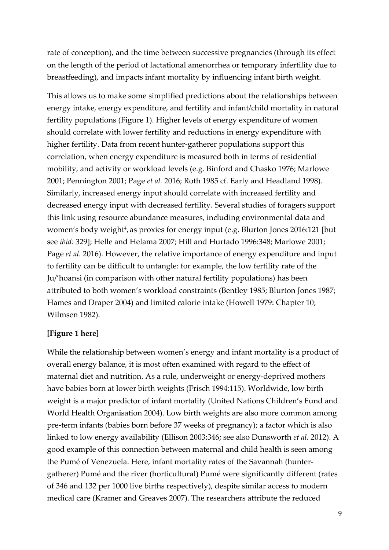rate of conception), and the time between successive pregnancies (through its effect on the length of the period of lactational amenorrhea or temporary infertility due to breastfeeding), and impacts infant mortality by influencing infant birth weight.

This allows us to make some simplified predictions about the relationships between energy intake, energy expenditure, and fertility and infant/child mortality in natural fertility populations (Figure 1). Higher levels of energy expenditure of women should correlate with lower fertility and reductions in energy expenditure with higher fertility. Data from recent hunter-gatherer populations support this correlation, when energy expenditure is measured both in terms of residential mobility, and activity or workload levels (e.g. Binford and Chasko 1976; Marlowe 2001; Pennington 2001; Page *et al.* 2016; Roth 1985 cf. Early and Headland 1998). Similarly, increased energy input should correlate with increased fertility and decreased energy input with decreased fertility. Several studies of foragers support this link using resource abundance measures, including environmental data and women's body weight<sup>4</sup>, as proxies for energy input (e.g. Blurton Jones 2016:121 [but see *ibid:* 329]; Helle and Helama 2007; Hill and Hurtado 1996:348; Marlowe 2001; Page *et al.* 2016). However, the relative importance of energy expenditure and input to fertility can be difficult to untangle: for example, the low fertility rate of the Ju/'hoansi (in comparison with other natural fertility populations) has been attributed to both women's workload constraints (Bentley 1985; Blurton Jones 1987; Hames and Draper 2004) and limited calorie intake (Howell 1979: Chapter 10; Wilmsen 1982).

#### **[Figure 1 here]**

While the relationship between women's energy and infant mortality is a product of overall energy balance, it is most often examined with regard to the effect of maternal diet and nutrition. As a rule, underweight or energy-deprived mothers have babies born at lower birth weights (Frisch 1994:115). Worldwide, low birth weight is a major predictor of infant mortality (United Nations Children's Fund and World Health Organisation 2004). Low birth weights are also more common among pre-term infants (babies born before 37 weeks of pregnancy); a factor which is also linked to low energy availability (Ellison 2003:346; see also Dunsworth *et al.* 2012). A good example of this connection between maternal and child health is seen among the Pumé of Venezuela. Here, infant mortality rates of the Savannah (huntergatherer) Pumé and the river (horticultural) Pumé were significantly different (rates of 346 and 132 per 1000 live births respectively), despite similar access to modern medical care (Kramer and Greaves 2007). The researchers attribute the reduced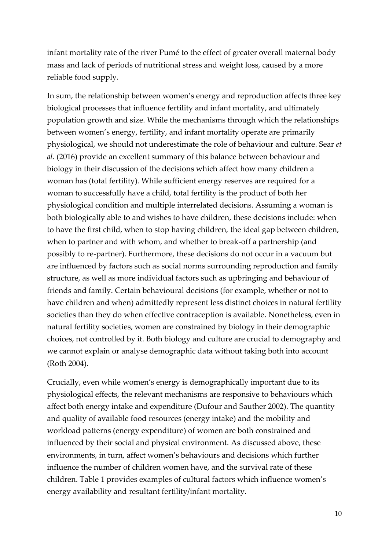infant mortality rate of the river Pumé to the effect of greater overall maternal body mass and lack of periods of nutritional stress and weight loss, caused by a more reliable food supply.

In sum, the relationship between women's energy and reproduction affects three key biological processes that influence fertility and infant mortality, and ultimately population growth and size. While the mechanisms through which the relationships between women's energy, fertility, and infant mortality operate are primarily physiological, we should not underestimate the role of behaviour and culture. Sear *et al.* (2016) provide an excellent summary of this balance between behaviour and biology in their discussion of the decisions which affect how many children a woman has (total fertility). While sufficient energy reserves are required for a woman to successfully have a child, total fertility is the product of both her physiological condition and multiple interrelated decisions. Assuming a woman is both biologically able to and wishes to have children, these decisions include: when to have the first child, when to stop having children, the ideal gap between children, when to partner and with whom, and whether to break-off a partnership (and possibly to re-partner). Furthermore, these decisions do not occur in a vacuum but are influenced by factors such as social norms surrounding reproduction and family structure, as well as more individual factors such as upbringing and behaviour of friends and family. Certain behavioural decisions (for example, whether or not to have children and when) admittedly represent less distinct choices in natural fertility societies than they do when effective contraception is available. Nonetheless, even in natural fertility societies, women are constrained by biology in their demographic choices, not controlled by it. Both biology and culture are crucial to demography and we cannot explain or analyse demographic data without taking both into account (Roth 2004).

Crucially, even while women's energy is demographically important due to its physiological effects, the relevant mechanisms are responsive to behaviours which affect both energy intake and expenditure (Dufour and Sauther 2002). The quantity and quality of available food resources (energy intake) and the mobility and workload patterns (energy expenditure) of women are both constrained and influenced by their social and physical environment. As discussed above, these environments, in turn, affect women's behaviours and decisions which further influence the number of children women have, and the survival rate of these children. Table 1 provides examples of cultural factors which influence women's energy availability and resultant fertility/infant mortality.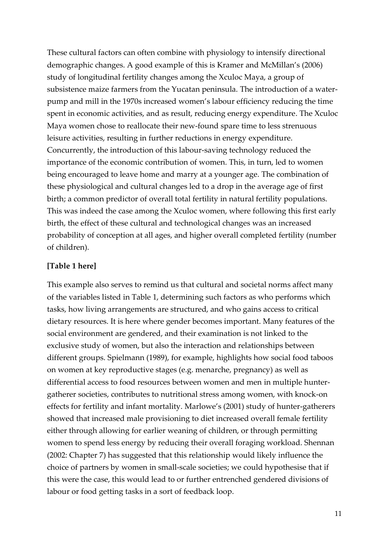These cultural factors can often combine with physiology to intensify directional demographic changes. A good example of this is Kramer and McMillan's (2006) study of longitudinal fertility changes among the Xculoc Maya, a group of subsistence maize farmers from the Yucatan peninsula. The introduction of a waterpump and mill in the 1970s increased women's labour efficiency reducing the time spent in economic activities, and as result, reducing energy expenditure. The Xculoc Maya women chose to reallocate their new-found spare time to less strenuous leisure activities, resulting in further reductions in energy expenditure. Concurrently, the introduction of this labour-saving technology reduced the importance of the economic contribution of women. This, in turn, led to women being encouraged to leave home and marry at a younger age. The combination of these physiological and cultural changes led to a drop in the average age of first birth; a common predictor of overall total fertility in natural fertility populations. This was indeed the case among the Xculoc women, where following this first early birth, the effect of these cultural and technological changes was an increased probability of conception at all ages, and higher overall completed fertility (number of children).

#### **[Table 1 here]**

This example also serves to remind us that cultural and societal norms affect many of the variables listed in Table 1, determining such factors as who performs which tasks, how living arrangements are structured, and who gains access to critical dietary resources. It is here where gender becomes important. Many features of the social environment are gendered, and their examination is not linked to the exclusive study of women, but also the interaction and relationships between different groups. Spielmann (1989), for example, highlights how social food taboos on women at key reproductive stages (e.g. menarche, pregnancy) as well as differential access to food resources between women and men in multiple huntergatherer societies, contributes to nutritional stress among women, with knock-on effects for fertility and infant mortality. Marlowe's (2001) study of hunter-gatherers showed that increased male provisioning to diet increased overall female fertility either through allowing for earlier weaning of children, or through permitting women to spend less energy by reducing their overall foraging workload. Shennan (2002: Chapter 7) has suggested that this relationship would likely influence the choice of partners by women in small-scale societies; we could hypothesise that if this were the case, this would lead to or further entrenched gendered divisions of labour or food getting tasks in a sort of feedback loop.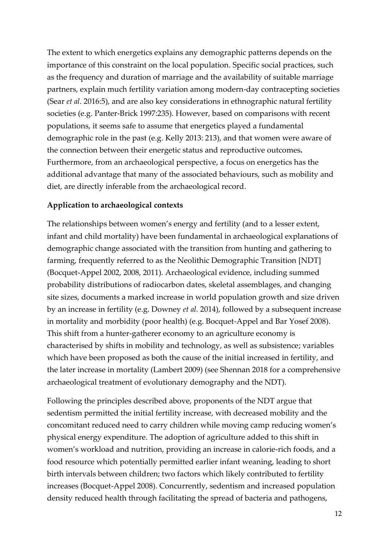The extent to which energetics explains any demographic patterns depends on the importance of this constraint on the local population. Specific social practices, such as the frequency and duration of marriage and the availability of suitable marriage partners, explain much fertility variation among modern-day contracepting societies (Sear *et al*. 2016:5), and are also key considerations in ethnographic natural fertility societies (e.g. Panter-Brick 1997:235). However, based on comparisons with recent populations, it seems safe to assume that energetics played a fundamental demographic role in the past (e.g. Kelly 2013: 213), and that women were aware of the connection between their energetic status and reproductive outcomes**.** Furthermore, from an archaeological perspective, a focus on energetics has the additional advantage that many of the associated behaviours, such as mobility and diet, are directly inferable from the archaeological record.

#### **Application to archaeological contexts**

The relationships between women's energy and fertility (and to a lesser extent, infant and child mortality) have been fundamental in archaeological explanations of demographic change associated with the transition from hunting and gathering to farming, frequently referred to as the Neolithic Demographic Transition [NDT] (Bocquet-Appel 2002, 2008, 2011). Archaeological evidence, including summed probability distributions of radiocarbon dates, skeletal assemblages, and changing site sizes, documents a marked increase in world population growth and size driven by an increase in fertility (e.g. Downey *et al.* 2014), followed by a subsequent increase in mortality and morbidity (poor health) (e.g. Bocquet-Appel and Bar Yosef 2008). This shift from a hunter-gatherer economy to an agriculture economy is characterised by shifts in mobility and technology, as well as subsistence; variables which have been proposed as both the cause of the initial increased in fertility, and the later increase in mortality (Lambert 2009) (see Shennan 2018 for a comprehensive archaeological treatment of evolutionary demography and the NDT).

Following the principles described above, proponents of the NDT argue that sedentism permitted the initial fertility increase, with decreased mobility and the concomitant reduced need to carry children while moving camp reducing women's physical energy expenditure. The adoption of agriculture added to this shift in women's workload and nutrition, providing an increase in calorie-rich foods, and a food resource which potentially permitted earlier infant weaning, leading to short birth intervals between children; two factors which likely contributed to fertility increases (Bocquet-Appel 2008). Concurrently, sedentism and increased population density reduced health through facilitating the spread of bacteria and pathogens,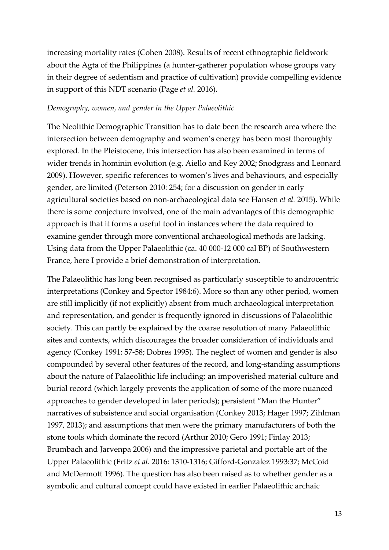increasing mortality rates (Cohen 2008). Results of recent ethnographic fieldwork about the Agta of the Philippines (a hunter-gatherer population whose groups vary in their degree of sedentism and practice of cultivation) provide compelling evidence in support of this NDT scenario (Page *et al.* 2016).

#### *Demography, women, and gender in the Upper Palaeolithic*

The Neolithic Demographic Transition has to date been the research area where the intersection between demography and women's energy has been most thoroughly explored. In the Pleistocene, this intersection has also been examined in terms of wider trends in hominin evolution (e.g. Aiello and Key 2002; Snodgrass and Leonard 2009). However, specific references to women's lives and behaviours, and especially gender, are limited (Peterson 2010: 254; for a discussion on gender in early agricultural societies based on non-archaeological data see Hansen *et al.* 2015). While there is some conjecture involved, one of the main advantages of this demographic approach is that it forms a useful tool in instances where the data required to examine gender through more conventional archaeological methods are lacking. Using data from the Upper Palaeolithic (ca. 40 000-12 000 cal BP) of Southwestern France, here I provide a brief demonstration of interpretation.

The Palaeolithic has long been recognised as particularly susceptible to androcentric interpretations (Conkey and Spector 1984:6). More so than any other period, women are still implicitly (if not explicitly) absent from much archaeological interpretation and representation, and gender is frequently ignored in discussions of Palaeolithic society. This can partly be explained by the coarse resolution of many Palaeolithic sites and contexts, which discourages the broader consideration of individuals and agency (Conkey 1991: 57-58; Dobres 1995). The neglect of women and gender is also compounded by several other features of the record, and long-standing assumptions about the nature of Palaeolithic life including; an impoverished material culture and burial record (which largely prevents the application of some of the more nuanced approaches to gender developed in later periods); persistent "Man the Hunter" narratives of subsistence and social organisation (Conkey 2013; Hager 1997; Zihlman 1997, 2013); and assumptions that men were the primary manufacturers of both the stone tools which dominate the record (Arthur 2010; Gero 1991; Finlay 2013; Brumbach and Jarvenpa 2006) and the impressive parietal and portable art of the Upper Palaeolithic (Fritz *et al.* 2016: 1310-1316; Gifford-Gonzalez 1993:37; McCoid and McDermott 1996). The question has also been raised as to whether gender as a symbolic and cultural concept could have existed in earlier Palaeolithic archaic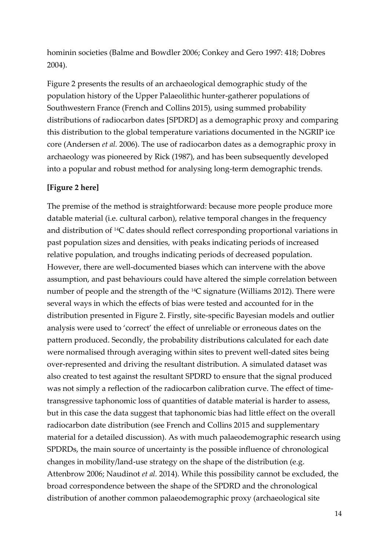hominin societies (Balme and Bowdler 2006; Conkey and Gero 1997: 418; Dobres 2004).

Figure 2 presents the results of an archaeological demographic study of the population history of the Upper Palaeolithic hunter-gatherer populations of Southwestern France (French and Collins 2015), using summed probability distributions of radiocarbon dates [SPDRD] as a demographic proxy and comparing this distribution to the global temperature variations documented in the NGRIP ice core (Andersen *et al.* 2006). The use of radiocarbon dates as a demographic proxy in archaeology was pioneered by Rick (1987), and has been subsequently developed into a popular and robust method for analysing long-term demographic trends.

## **[Figure 2 here]**

The premise of the method is straightforward: because more people produce more datable material (i.e. cultural carbon), relative temporal changes in the frequency and distribution of 14C dates should reflect corresponding proportional variations in past population sizes and densities, with peaks indicating periods of increased relative population, and troughs indicating periods of decreased population. However, there are well-documented biases which can intervene with the above assumption, and past behaviours could have altered the simple correlation between number of people and the strength of the 14C signature (Williams 2012). There were several ways in which the effects of bias were tested and accounted for in the distribution presented in Figure 2. Firstly, site-specific Bayesian models and outlier analysis were used to 'correct' the effect of unreliable or erroneous dates on the pattern produced. Secondly, the probability distributions calculated for each date were normalised through averaging within sites to prevent well-dated sites being over-represented and driving the resultant distribution. A simulated dataset was also created to test against the resultant SPDRD to ensure that the signal produced was not simply a reflection of the radiocarbon calibration curve. The effect of timetransgressive taphonomic loss of quantities of datable material is harder to assess, but in this case the data suggest that taphonomic bias had little effect on the overall radiocarbon date distribution (see French and Collins 2015 and supplementary material for a detailed discussion). As with much palaeodemographic research using SPDRDs, the main source of uncertainty is the possible influence of chronological changes in mobility/land-use strategy on the shape of the distribution (e.g. Attenbrow 2006; Naudinot *et al.* 2014). While this possibility cannot be excluded, the broad correspondence between the shape of the SPDRD and the chronological distribution of another common palaeodemographic proxy (archaeological site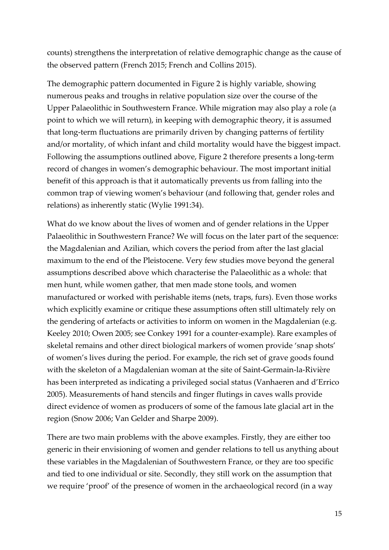counts) strengthens the interpretation of relative demographic change as the cause of the observed pattern (French 2015; French and Collins 2015).

The demographic pattern documented in Figure 2 is highly variable, showing numerous peaks and troughs in relative population size over the course of the Upper Palaeolithic in Southwestern France. While migration may also play a role (a point to which we will return), in keeping with demographic theory, it is assumed that long-term fluctuations are primarily driven by changing patterns of fertility and/or mortality, of which infant and child mortality would have the biggest impact. Following the assumptions outlined above, Figure 2 therefore presents a long-term record of changes in women's demographic behaviour. The most important initial benefit of this approach is that it automatically prevents us from falling into the common trap of viewing women's behaviour (and following that, gender roles and relations) as inherently static (Wylie 1991:34).

What do we know about the lives of women and of gender relations in the Upper Palaeolithic in Southwestern France? We will focus on the later part of the sequence: the Magdalenian and Azilian, which covers the period from after the last glacial maximum to the end of the Pleistocene. Very few studies move beyond the general assumptions described above which characterise the Palaeolithic as a whole: that men hunt, while women gather, that men made stone tools, and women manufactured or worked with perishable items (nets, traps, furs). Even those works which explicitly examine or critique these assumptions often still ultimately rely on the gendering of artefacts or activities to inform on women in the Magdalenian (e.g. Keeley 2010; Owen 2005; see Conkey 1991 for a counter-example). Rare examples of skeletal remains and other direct biological markers of women provide 'snap shots' of women's lives during the period. For example, the rich set of grave goods found with the skeleton of a Magdalenian woman at the site of Saint-Germain-la-Rivière has been interpreted as indicating a privileged social status (Vanhaeren and d'Errico 2005). Measurements of hand stencils and finger flutings in caves walls provide direct evidence of women as producers of some of the famous late glacial art in the region (Snow 2006; Van Gelder and Sharpe 2009).

There are two main problems with the above examples. Firstly, they are either too generic in their envisioning of women and gender relations to tell us anything about these variables in the Magdalenian of Southwestern France, or they are too specific and tied to one individual or site. Secondly, they still work on the assumption that we require 'proof' of the presence of women in the archaeological record (in a way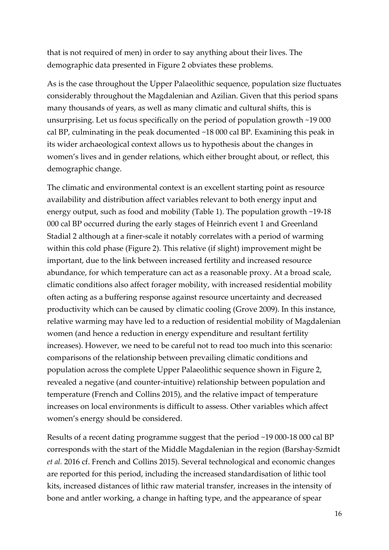that is not required of men) in order to say anything about their lives. The demographic data presented in Figure 2 obviates these problems.

As is the case throughout the Upper Palaeolithic sequence, population size fluctuates considerably throughout the Magdalenian and Azilian. Given that this period spans many thousands of years, as well as many climatic and cultural shifts, this is unsurprising. Let us focus specifically on the period of population growth ~19 000 cal BP, culminating in the peak documented ~18 000 cal BP. Examining this peak in its wider archaeological context allows us to hypothesis about the changes in women's lives and in gender relations, which either brought about, or reflect, this demographic change.

The climatic and environmental context is an excellent starting point as resource availability and distribution affect variables relevant to both energy input and energy output, such as food and mobility (Table 1). The population growth ~19-18 000 cal BP occurred during the early stages of Heinrich event 1 and Greenland Stadial 2 although at a finer-scale it notably correlates with a period of warming within this cold phase (Figure 2). This relative (if slight) improvement might be important, due to the link between increased fertility and increased resource abundance, for which temperature can act as a reasonable proxy. At a broad scale, climatic conditions also affect forager mobility, with increased residential mobility often acting as a buffering response against resource uncertainty and decreased productivity which can be caused by climatic cooling (Grove 2009). In this instance, relative warming may have led to a reduction of residential mobility of Magdalenian women (and hence a reduction in energy expenditure and resultant fertility increases). However, we need to be careful not to read too much into this scenario: comparisons of the relationship between prevailing climatic conditions and population across the complete Upper Palaeolithic sequence shown in Figure 2, revealed a negative (and counter-intuitive) relationship between population and temperature (French and Collins 2015), and the relative impact of temperature increases on local environments is difficult to assess. Other variables which affect women's energy should be considered.

Results of a recent dating programme suggest that the period ~19 000-18 000 cal BP corresponds with the start of the Middle Magdalenian in the region (Barshay-Szmidt *et al.* 2016 cf. French and Collins 2015). Several technological and economic changes are reported for this period, including the increased standardisation of lithic tool kits, increased distances of lithic raw material transfer, increases in the intensity of bone and antler working, a change in hafting type, and the appearance of spear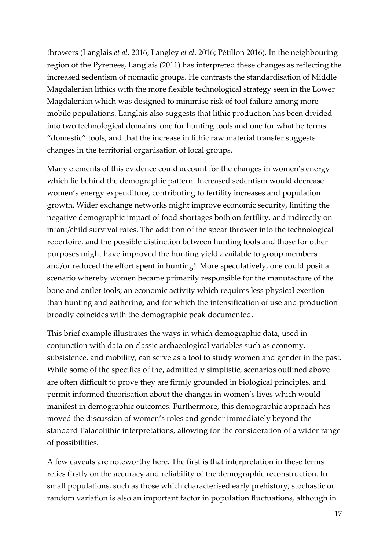throwers (Langlais *et al*. 2016; Langley *et al*. 2016; Pétillon 2016). In the neighbouring region of the Pyrenees, Langlais (2011) has interpreted these changes as reflecting the increased sedentism of nomadic groups. He contrasts the standardisation of Middle Magdalenian lithics with the more flexible technological strategy seen in the Lower Magdalenian which was designed to minimise risk of tool failure among more mobile populations. Langlais also suggests that lithic production has been divided into two technological domains: one for hunting tools and one for what he terms "domestic" tools, and that the increase in lithic raw material transfer suggests changes in the territorial organisation of local groups.

Many elements of this evidence could account for the changes in women's energy which lie behind the demographic pattern. Increased sedentism would decrease women's energy expenditure, contributing to fertility increases and population growth. Wider exchange networks might improve economic security, limiting the negative demographic impact of food shortages both on fertility, and indirectly on infant/child survival rates. The addition of the spear thrower into the technological repertoire, and the possible distinction between hunting tools and those for other purposes might have improved the hunting yield available to group members and/or reduced the effort spent in hunting<sup>5</sup>. More speculatively, one could posit a scenario whereby women became primarily responsible for the manufacture of the bone and antler tools; an economic activity which requires less physical exertion than hunting and gathering, and for which the intensification of use and production broadly coincides with the demographic peak documented.

This brief example illustrates the ways in which demographic data, used in conjunction with data on classic archaeological variables such as economy, subsistence, and mobility, can serve as a tool to study women and gender in the past. While some of the specifics of the, admittedly simplistic, scenarios outlined above are often difficult to prove they are firmly grounded in biological principles, and permit informed theorisation about the changes in women's lives which would manifest in demographic outcomes. Furthermore, this demographic approach has moved the discussion of women's roles and gender immediately beyond the standard Palaeolithic interpretations, allowing for the consideration of a wider range of possibilities.

A few caveats are noteworthy here. The first is that interpretation in these terms relies firstly on the accuracy and reliability of the demographic reconstruction. In small populations, such as those which characterised early prehistory, stochastic or random variation is also an important factor in population fluctuations, although in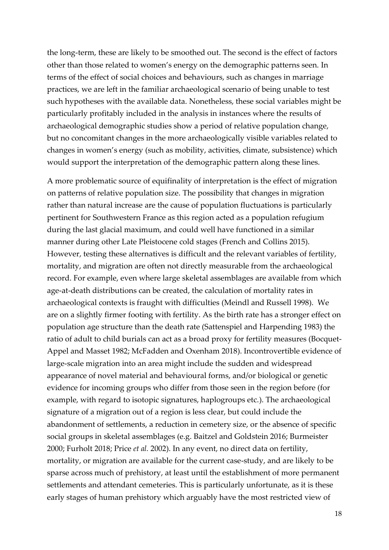the long-term, these are likely to be smoothed out. The second is the effect of factors other than those related to women's energy on the demographic patterns seen. In terms of the effect of social choices and behaviours, such as changes in marriage practices, we are left in the familiar archaeological scenario of being unable to test such hypotheses with the available data. Nonetheless, these social variables might be particularly profitably included in the analysis in instances where the results of archaeological demographic studies show a period of relative population change, but no concomitant changes in the more archaeologically visible variables related to changes in women's energy (such as mobility, activities, climate, subsistence) which would support the interpretation of the demographic pattern along these lines.

A more problematic source of equifinality of interpretation is the effect of migration on patterns of relative population size. The possibility that changes in migration rather than natural increase are the cause of population fluctuations is particularly pertinent for Southwestern France as this region acted as a population refugium during the last glacial maximum, and could well have functioned in a similar manner during other Late Pleistocene cold stages (French and Collins 2015). However, testing these alternatives is difficult and the relevant variables of fertility, mortality, and migration are often not directly measurable from the archaeological record. For example, even where large skeletal assemblages are available from which age-at-death distributions can be created, the calculation of mortality rates in archaeological contexts is fraught with difficulties (Meindl and Russell 1998). We are on a slightly firmer footing with fertility. As the birth rate has a stronger effect on population age structure than the death rate (Sattenspiel and Harpending 1983) the ratio of adult to child burials can act as a broad proxy for fertility measures (Bocquet-Appel and Masset 1982; McFadden and Oxenham 2018). Incontrovertible evidence of large-scale migration into an area might include the sudden and widespread appearance of novel material and behavioural forms, and/or biological or genetic evidence for incoming groups who differ from those seen in the region before (for example, with regard to isotopic signatures, haplogroups etc.). The archaeological signature of a migration out of a region is less clear, but could include the abandonment of settlements, a reduction in cemetery size, or the absence of specific social groups in skeletal assemblages (e.g. Baitzel and Goldstein 2016; Burmeister 2000; Furholt 2018; Price *et al.* 2002). In any event, no direct data on fertility, mortality, or migration are available for the current case-study, and are likely to be sparse across much of prehistory, at least until the establishment of more permanent settlements and attendant cemeteries. This is particularly unfortunate, as it is these early stages of human prehistory which arguably have the most restricted view of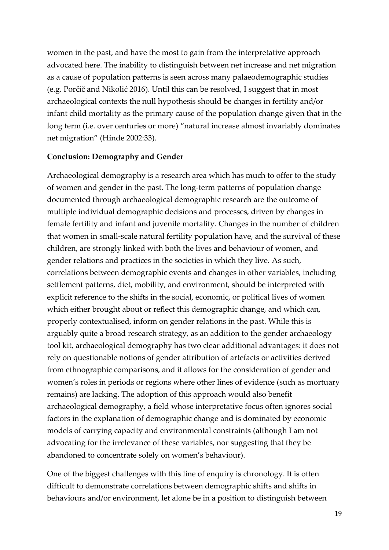women in the past, and have the most to gain from the interpretative approach advocated here. The inability to distinguish between net increase and net migration as a cause of population patterns is seen across many palaeodemographic studies (e.g. Porčič and Nikolić 2016). Until this can be resolved, I suggest that in most archaeological contexts the null hypothesis should be changes in fertility and/or infant child mortality as the primary cause of the population change given that in the long term (i.e. over centuries or more) "natural increase almost invariably dominates net migration" (Hinde 2002:33).

#### **Conclusion: Demography and Gender**

Archaeological demography is a research area which has much to offer to the study of women and gender in the past. The long-term patterns of population change documented through archaeological demographic research are the outcome of multiple individual demographic decisions and processes, driven by changes in female fertility and infant and juvenile mortality. Changes in the number of children that women in small-scale natural fertility population have, and the survival of these children, are strongly linked with both the lives and behaviour of women, and gender relations and practices in the societies in which they live. As such, correlations between demographic events and changes in other variables, including settlement patterns, diet, mobility, and environment, should be interpreted with explicit reference to the shifts in the social, economic, or political lives of women which either brought about or reflect this demographic change, and which can, properly contextualised, inform on gender relations in the past. While this is arguably quite a broad research strategy, as an addition to the gender archaeology tool kit, archaeological demography has two clear additional advantages: it does not rely on questionable notions of gender attribution of artefacts or activities derived from ethnographic comparisons, and it allows for the consideration of gender and women's roles in periods or regions where other lines of evidence (such as mortuary remains) are lacking. The adoption of this approach would also benefit archaeological demography, a field whose interpretative focus often ignores social factors in the explanation of demographic change and is dominated by economic models of carrying capacity and environmental constraints (although I am not advocating for the irrelevance of these variables, nor suggesting that they be abandoned to concentrate solely on women's behaviour).

One of the biggest challenges with this line of enquiry is chronology. It is often difficult to demonstrate correlations between demographic shifts and shifts in behaviours and/or environment, let alone be in a position to distinguish between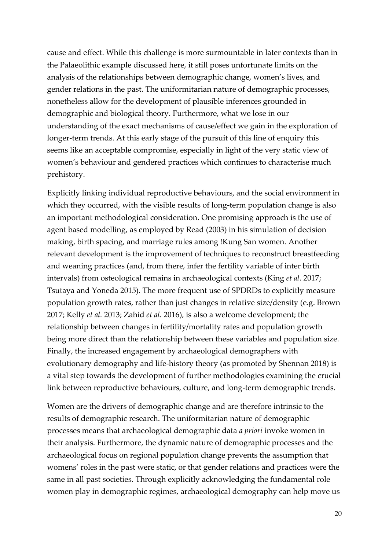cause and effect. While this challenge is more surmountable in later contexts than in the Palaeolithic example discussed here, it still poses unfortunate limits on the analysis of the relationships between demographic change, women's lives, and gender relations in the past. The uniformitarian nature of demographic processes, nonetheless allow for the development of plausible inferences grounded in demographic and biological theory. Furthermore, what we lose in our understanding of the exact mechanisms of cause/effect we gain in the exploration of longer-term trends. At this early stage of the pursuit of this line of enquiry this seems like an acceptable compromise, especially in light of the very static view of women's behaviour and gendered practices which continues to characterise much prehistory.

Explicitly linking individual reproductive behaviours, and the social environment in which they occurred, with the visible results of long-term population change is also an important methodological consideration. One promising approach is the use of agent based modelling, as employed by Read (2003) in his simulation of decision making, birth spacing, and marriage rules among !Kung San women. Another relevant development is the improvement of techniques to reconstruct breastfeeding and weaning practices (and, from there, infer the fertility variable of inter birth intervals) from osteological remains in archaeological contexts (King *et al*. 2017; Tsutaya and Yoneda 2015). The more frequent use of SPDRDs to explicitly measure population growth rates, rather than just changes in relative size/density (e.g. Brown 2017; Kelly *et al.* 2013; Zahid *et al.* 2016), is also a welcome development; the relationship between changes in fertility/mortality rates and population growth being more direct than the relationship between these variables and population size. Finally, the increased engagement by archaeological demographers with evolutionary demography and life-history theory (as promoted by Shennan 2018) is a vital step towards the development of further methodologies examining the crucial link between reproductive behaviours, culture, and long-term demographic trends.

Women are the drivers of demographic change and are therefore intrinsic to the results of demographic research. The uniformitarian nature of demographic processes means that archaeological demographic data *a priori* invoke women in their analysis. Furthermore, the dynamic nature of demographic processes and the archaeological focus on regional population change prevents the assumption that womens' roles in the past were static, or that gender relations and practices were the same in all past societies. Through explicitly acknowledging the fundamental role women play in demographic regimes, archaeological demography can help move us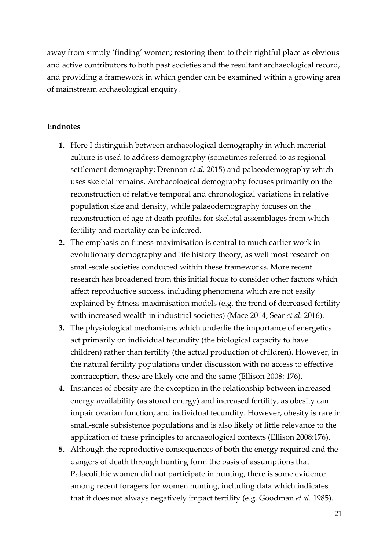away from simply 'finding' women; restoring them to their rightful place as obvious and active contributors to both past societies and the resultant archaeological record, and providing a framework in which gender can be examined within a growing area of mainstream archaeological enquiry.

#### **Endnotes**

- **1.** Here I distinguish between archaeological demography in which material culture is used to address demography (sometimes referred to as regional settlement demography; Drennan *et al.* 2015) and palaeodemography which uses skeletal remains. Archaeological demography focuses primarily on the reconstruction of relative temporal and chronological variations in relative population size and density, while palaeodemography focuses on the reconstruction of age at death profiles for skeletal assemblages from which fertility and mortality can be inferred.
- **2.** The emphasis on fitness-maximisation is central to much earlier work in evolutionary demography and life history theory, as well most research on small-scale societies conducted within these frameworks. More recent research has broadened from this initial focus to consider other factors which affect reproductive success, including phenomena which are not easily explained by fitness-maximisation models (e.g. the trend of decreased fertility with increased wealth in industrial societies) (Mace 2014; Sear *et al*. 2016).
- **3.** The physiological mechanisms which underlie the importance of energetics act primarily on individual fecundity (the biological capacity to have children) rather than fertility (the actual production of children). However, in the natural fertility populations under discussion with no access to effective contraception, these are likely one and the same (Ellison 2008: 176).
- **4.** Instances of obesity are the exception in the relationship between increased energy availability (as stored energy) and increased fertility, as obesity can impair ovarian function, and individual fecundity. However, obesity is rare in small-scale subsistence populations and is also likely of little relevance to the application of these principles to archaeological contexts (Ellison 2008:176).
- **5.** Although the reproductive consequences of both the energy required and the dangers of death through hunting form the basis of assumptions that Palaeolithic women did not participate in hunting, there is some evidence among recent foragers for women hunting, including data which indicates that it does not always negatively impact fertility (e.g. Goodman *et al.* 1985).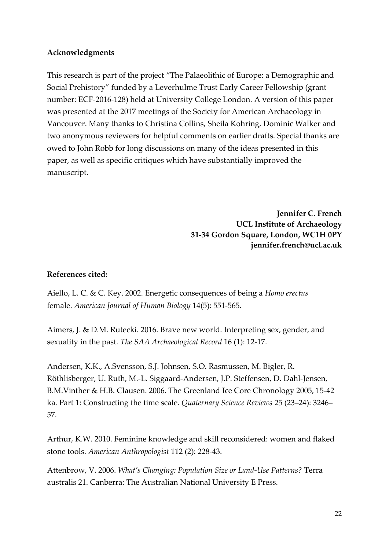#### **Acknowledgments**

This research is part of the project "The Palaeolithic of Europe: a Demographic and Social Prehistory" funded by a Leverhulme Trust Early Career Fellowship (grant number: ECF-2016-128) held at University College London. A version of this paper was presented at the 2017 meetings of the Society for American Archaeology in Vancouver. Many thanks to Christina Collins, Sheila Kohring, Dominic Walker and two anonymous reviewers for helpful comments on earlier drafts. Special thanks are owed to John Robb for long discussions on many of the ideas presented in this paper, as well as specific critiques which have substantially improved the manuscript.

> **Jennifer C. French UCL Institute of Archaeology 31-34 Gordon Square, London, WC1H 0PY jennifer.french@ucl.ac.uk**

#### **References cited:**

Aiello, L. C. & C. Key. 2002. Energetic consequences of being a *Homo erectus* female. *American Journal of Human Biology* 14(5): 551-565.

Aimers, J. & D.M. Rutecki. 2016. Brave new world. Interpreting sex, gender, and sexuality in the past. *The SAA Archaeological Record* 16 (1): 12-17.

Andersen, K.K., A.Svensson, S.J. Johnsen, S.O. Rasmussen, M. Bigler, R. Röthlisberger, U. Ruth, M.-L. Siggaard-Andersen, J.P. Steffensen, D. Dahl-Jensen, B.M.Vinther & H.B. Clausen. 2006. The Greenland Ice Core Chronology 2005, 15-42 ka. Part 1: Constructing the time scale. *Quaternary Science Reviews* 25 (23–24): 3246– 57.

Arthur, K.W. 2010. Feminine knowledge and skill reconsidered: women and flaked stone tools. *American Anthropologist* 112 (2): 228-43.

Attenbrow, V. 2006. *What's Changing: Population Size or Land-Use Patterns?* Terra australis 21. Canberra: The Australian National University E Press.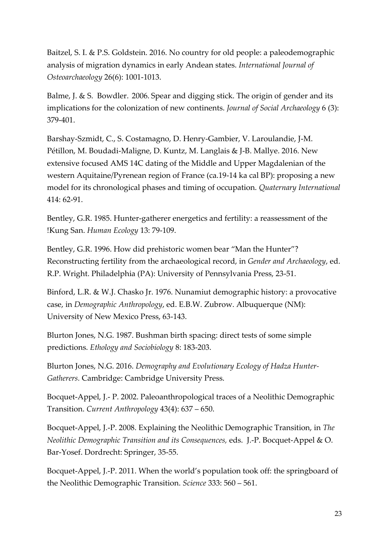Baitzel, S. I. & P.S. Goldstein. 2016. No country for old people: a paleodemographic analysis of migration dynamics in early Andean states. *International Journal of Osteoarchaeology* 26(6): 1001-1013.

Balme, J. & S. Bowdler. 2006. Spear and digging stick. The origin of gender and its implications for the colonization of new continents. *Journal of Social Archaeology* 6 (3): 379-401.

Barshay-Szmidt, C., S. Costamagno, D. Henry-Gambier, V. Laroulandie, J-M. Pétillon, M. Boudadi-Maligne, D. Kuntz, M. Langlais & J-B. Mallye. 2016. New extensive focused AMS 14C dating of the Middle and Upper Magdalenian of the western Aquitaine/Pyrenean region of France (ca.19-14 ka cal BP): proposing a new model for its chronological phases and timing of occupation. *Quaternary International* 414: 62-91.

Bentley, G.R. 1985. Hunter-gatherer energetics and fertility: a reassessment of the !Kung San. *Human Ecology* 13: 79-109.

Bentley, G.R. 1996. How did prehistoric women bear "Man the Hunter"? Reconstructing fertility from the archaeological record, in *Gender and Archaeology*, ed. R.P. Wright. Philadelphia (PA): University of Pennsylvania Press, 23-51.

Binford, L.R. & W.J. Chasko Jr. 1976. Nunamiut demographic history: a provocative case, in *Demographic Anthropology*, ed. E.B.W. Zubrow. Albuquerque (NM): University of New Mexico Press, 63-143.

Blurton Jones, N.G. 1987. Bushman birth spacing: direct tests of some simple predictions. *Ethology and Sociobiology* 8: 183-203.

Blurton Jones, N.G. 2016. *Demography and Evolutionary Ecology of Hadza Hunter-Gatherers.* Cambridge: Cambridge University Press.

Bocquet-Appel, J.- P. 2002. Paleoanthropological traces of a Neolithic Demographic Transition. *Current Anthropology* 43(4): 637 – 650.

Bocquet-Appel, J.-P. 2008. Explaining the Neolithic Demographic Transition, in *The Neolithic Demographic Transition and its Consequences,* eds. J.-P. Bocquet-Appel & O. Bar-Yosef. Dordrecht: Springer, 35-55.

Bocquet-Appel, J.-P. 2011. When the world's population took off: the springboard of the Neolithic Demographic Transition. *Science* 333: 560 – 561.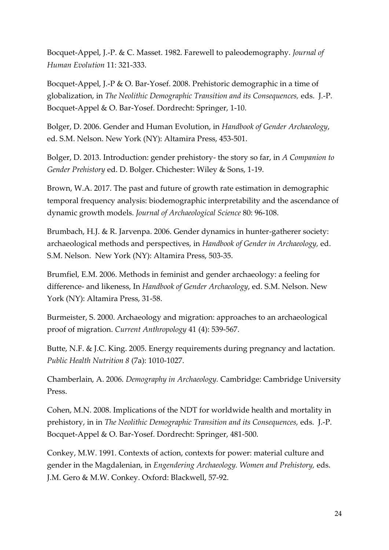Bocquet-Appel, J.-P. & C. Masset. 1982. Farewell to paleodemography. *Journal of Human Evolution* 11: 321-333.

Bocquet-Appel, J.-P & O. Bar-Yosef. 2008. Prehistoric demographic in a time of globalization, in *The Neolithic Demographic Transition and its Consequences,* eds. J.-P. Bocquet-Appel & O. Bar-Yosef. Dordrecht: Springer, 1-10.

Bolger, D. 2006. Gender and Human Evolution, in *Handbook of Gender Archaeology*, ed. S.M. Nelson. New York (NY): Altamira Press, 453-501.

Bolger, D. 2013. Introduction: gender prehistory- the story so far, in *A Companion to Gender Prehistory* ed. D. Bolger. Chichester: Wiley & Sons, 1-19.

Brown, W.A. 2017. The past and future of growth rate estimation in demographic temporal frequency analysis: biodemographic interpretability and the ascendance of dynamic growth models. *Journal of Archaeological Science* 80: 96-108.

Brumbach, H.J. & R. Jarvenpa. 2006. Gender dynamics in hunter-gatherer society: archaeological methods and perspectives, in *Handbook of Gender in Archaeology,* ed. S.M. Nelson. New York (NY): Altamira Press, 503-35.

Brumfiel, E.M. 2006. Methods in feminist and gender archaeology: a feeling for difference- and likeness, In *Handbook of Gender Archaeology*, ed. S.M. Nelson. New York (NY): Altamira Press, 31-58.

Burmeister, S. 2000. Archaeology and migration: approaches to an archaeological proof of migration. *Current Anthropology* 41 (4): 539-567.

Butte, N.F. & J.C. King. 2005. Energy requirements during pregnancy and lactation. *Public Health Nutrition 8* (7a): 1010-1027.

Chamberlain, A. 2006. *Demography in Archaeology.* Cambridge: Cambridge University Press.

Cohen, M.N. 2008. Implications of the NDT for worldwide health and mortality in prehistory, in in *The Neolithic Demographic Transition and its Consequences,* eds. J.-P. Bocquet-Appel & O. Bar-Yosef. Dordrecht: Springer, 481-500.

Conkey, M.W. 1991. Contexts of action, contexts for power: material culture and gender in the Magdalenian, in *Engendering Archaeology. Women and Prehistory,* eds. J.M. Gero & M.W. Conkey. Oxford: Blackwell, 57-92.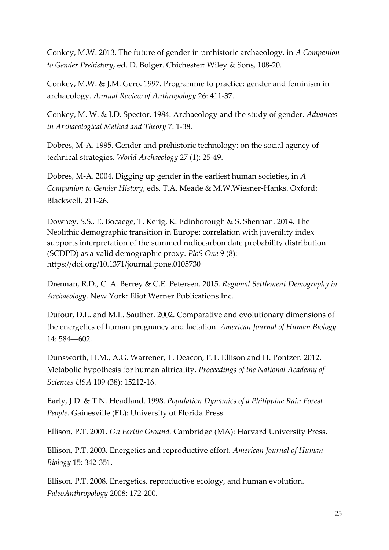Conkey, M.W. 2013. The future of gender in prehistoric archaeology, in *A Companion to Gender Prehistory*, ed. D. Bolger. Chichester: Wiley & Sons, 108-20.

Conkey, M.W. & J.M. Gero. 1997. Programme to practice: gender and feminism in archaeology. *Annual Review of Anthropology* 26: 411-37.

Conkey, M. W. & J.D. Spector. 1984. Archaeology and the study of gender. *Advances in Archaeological Method and Theory* 7: 1-38.

Dobres, M-A. 1995. Gender and prehistoric technology: on the social agency of technical strategies. *World Archaeology* 27 (1): 25-49.

Dobres, M-A. 2004. Digging up gender in the earliest human societies, in *A Companion to Gender History*, eds. T.A. Meade & M.W.Wiesner-Hanks. Oxford: Blackwell, 211-26.

Downey, S.S., E. Bocaege, T. Kerig, K. Edinborough & S. Shennan. 2014. The Neolithic demographic transition in Europe: correlation with juvenility index supports interpretation of the summed radiocarbon date probability distribution (SCDPD) as a valid demographic proxy. *PloS One* 9 (8): https://doi.org/10.1371/journal.pone.0105730

Drennan, R.D., C. A. Berrey & C.E. Petersen. 2015. *Regional Settlement Demography in Archaeology*. New York: Eliot Werner Publications Inc.

Dufour, D.L. and M.L. Sauther. 2002. Comparative and evolutionary dimensions of the energetics of human pregnancy and lactation. *American Journal of Human Biology* 14: 584―602.

Dunsworth, H.M., A.G. Warrener, T. Deacon, P.T. Ellison and H. Pontzer. 2012. Metabolic hypothesis for human altricality. *Proceedings of the National Academy of Sciences USA* 109 (38): 15212-16.

Early, J.D. & T.N. Headland. 1998. *Population Dynamics of a Philippine Rain Forest People.* Gainesville (FL): University of Florida Press.

Ellison, P.T. 2001. *On Fertile Ground.* Cambridge (MA): Harvard University Press.

Ellison, P.T. 2003. Energetics and reproductive effort. *American Journal of Human Biology* 15: 342-351.

Ellison, P.T. 2008. Energetics, reproductive ecology, and human evolution. *PaleoAnthropology* 2008: 172-200.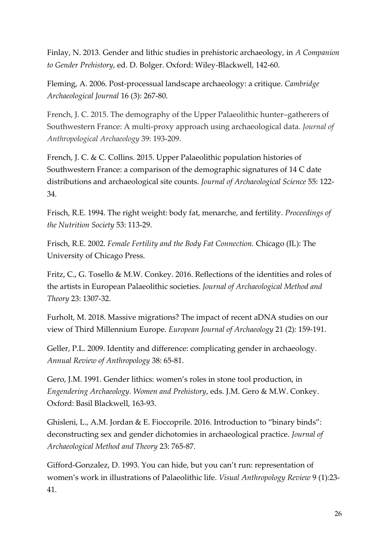Finlay, N. 2013. Gender and lithic studies in prehistoric archaeology, in *A Companion to Gender Prehistory*, ed. D. Bolger. Oxford: Wiley-Blackwell, 142-60.

Fleming, A. 2006. Post-processual landscape archaeology: a critique. *Cambridge Archaeological Journal* 16 (3): 267-80.

French, J. C. 2015. The demography of the Upper Palaeolithic hunter–gatherers of Southwestern France: A multi-proxy approach using archaeological data. *Journal of Anthropological Archaeology* 39: 193-209.

French, J. C. & C. Collins. 2015. Upper Palaeolithic population histories of Southwestern France: a comparison of the demographic signatures of 14 C date distributions and archaeological site counts. *Journal of Archaeological Science* 55: 122- 34.

Frisch, R.E. 1994. The right weight: body fat, menarche, and fertility. *Proceedings of the Nutrition Society* 53: 113-29.

Frisch, R.E. 2002. *Female Fertility and the Body Fat Connection.* Chicago (IL): The University of Chicago Press.

Fritz, C., G. Tosello & M.W. Conkey. 2016. Reflections of the identities and roles of the artists in European Palaeolithic societies. *Journal of Archaeological Method and Theory* 23: 1307-32.

Furholt, M. 2018. Massive migrations? The impact of recent aDNA studies on our view of Third Millennium Europe. *European Journal of Archaeology* 21 (2): 159-191.

Geller, P.L. 2009. Identity and difference: complicating gender in archaeology. *Annual Review of Anthropology* 38: 65-81.

Gero, J.M. 1991. Gender lithics: women's roles in stone tool production, in *Engendering Archaeology. Women and Prehistory*, eds. J.M. Gero & M.W. Conkey. Oxford: Basil Blackwell, 163-93.

Ghisleni, L., A.M. Jordan & E. Fioccoprile. 2016. Introduction to "binary binds": deconstructing sex and gender dichotomies in archaeological practice. *Journal of Archaeological Method and Theory* 23: 765-87.

Gifford-Gonzalez, D. 1993. You can hide, but you can't run: representation of women's work in illustrations of Palaeolithic life. *Visual Anthropology Review* 9 (1):23- 41.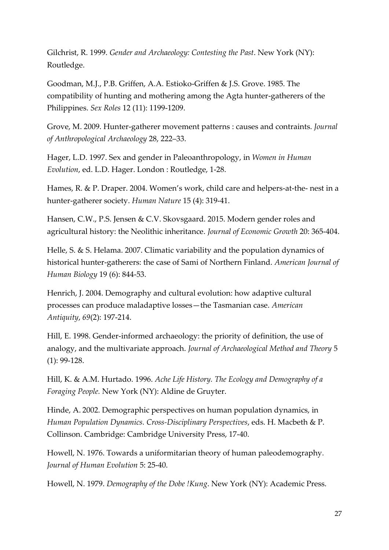Gilchrist, R. 1999. *Gender and Archaeology: Contesting the Past*. New York (NY): Routledge.

Goodman, M.J., P.B. Griffen, A.A. Estioko-Griffen & J.S. Grove. 1985. The compatibility of hunting and mothering among the Agta hunter-gatherers of the Philippines. *Sex Roles* 12 (11): 1199-1209.

Grove, M. 2009. Hunter-gatherer movement patterns : causes and contraints. *Journal of Anthropological Archaeology* 28, 222–33.

Hager, L.D. 1997. Sex and gender in Paleoanthropology, in *Women in Human Evolution*, ed. L.D. Hager. London : Routledge, 1-28.

Hames, R. & P. Draper. 2004. Women's work, child care and helpers-at-the- nest in a hunter-gatherer society. *Human Nature* 15 (4): 319-41.

Hansen, C.W., P.S. Jensen & C.V. Skovsgaard. 2015. Modern gender roles and agricultural history: the Neolithic inheritance. *Journal of Economic Growth* 20: 365-404.

Helle, S. & S. Helama. 2007. Climatic variability and the population dynamics of historical hunter-gatherers: the case of Sami of Northern Finland. *American Journal of Human Biology* 19 (6): 844-53.

Henrich, J. 2004. Demography and cultural evolution: how adaptive cultural processes can produce maladaptive losses—the Tasmanian case. *American Antiquity*, *69*(2): 197-214.

Hill, E. 1998. Gender-informed archaeology: the priority of definition, the use of analogy, and the multivariate approach. *Journal of Archaeological Method and Theory* 5 (1): 99-128.

Hill, K. & A.M. Hurtado. 1996. *Ache Life History. The Ecology and Demography of a Foraging People.* New York (NY): Aldine de Gruyter.

Hinde, A. 2002. Demographic perspectives on human population dynamics, in *Human Population Dynamics. Cross-Disciplinary Perspectives*, eds. H. Macbeth & P. Collinson. Cambridge: Cambridge University Press, 17-40.

Howell, N. 1976. Towards a uniformitarian theory of human paleodemography*. Journal of Human Evolution* 5: 25-40.

Howell, N. 1979. *Demography of the Dobe !Kung*. New York (NY): Academic Press.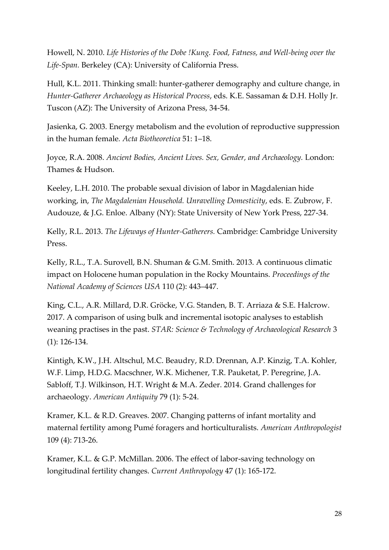Howell, N. 2010. *Life Histories of the Dobe !Kung. Food, Fatness, and Well-being over the Life-Span.* Berkeley (CA): University of California Press.

Hull, K.L. 2011. Thinking small: hunter-gatherer demography and culture change, in *Hunter-Gatherer Archaeology as Historical Process*, eds. K.E. Sassaman & D.H. Holly Jr. Tuscon (AZ): The University of Arizona Press, 34-54.

Jasienka, G. 2003. Energy metabolism and the evolution of reproductive suppression in the human female*. Acta Biotheoretica* 51: 1–18.

Joyce, R.A. 2008. *Ancient Bodies, Ancient Lives. Sex, Gender, and Archaeology.* London: Thames & Hudson.

Keeley, L.H. 2010. The probable sexual division of labor in Magdalenian hide working, in, *The Magdalenian Household. Unravelling Domesticity*, eds. E. Zubrow, F. Audouze, & J.G. Enloe. Albany (NY): State University of New York Press, 227-34.

Kelly, R.L. 2013. *The Lifeways of Hunter-Gatherers.* Cambridge: Cambridge University Press.

Kelly, R.L., T.A. Surovell, B.N. Shuman & G.M. Smith. 2013. A continuous climatic impact on Holocene human population in the Rocky Mountains. *Proceedings of the National Academy of Sciences USA* 110 (2): 443–447.

King, C.L., A.R. Millard, D.R. Gröcke, V.G. Standen, B. T. Arriaza & S.E. Halcrow. 2017. A comparison of using bulk and incremental isotopic analyses to establish weaning practises in the past. *STAR: Science & Technology of Archaeological Research* 3 (1): 126-134.

Kintigh, K.W., J.H. Altschul, M.C. Beaudry, R.D. Drennan, A.P. Kinzig, T.A. Kohler, W.F. Limp, H.D.G. Macschner, W.K. Michener, T.R. Pauketat, P. Peregrine, J.A. Sabloff, T.J. Wilkinson, H.T. Wright & M.A. Zeder. 2014. Grand challenges for archaeology. *American Antiquity* 79 (1): 5-24.

Kramer, K.L. & R.D. Greaves. 2007. Changing patterns of infant mortality and maternal fertility among Pumé foragers and horticulturalists. *American Anthropologist* 109 (4): 713-26.

Kramer, K.L. & G.P. McMillan. 2006. The effect of labor-saving technology on longitudinal fertility changes. *Current Anthropology* 47 (1): 165-172.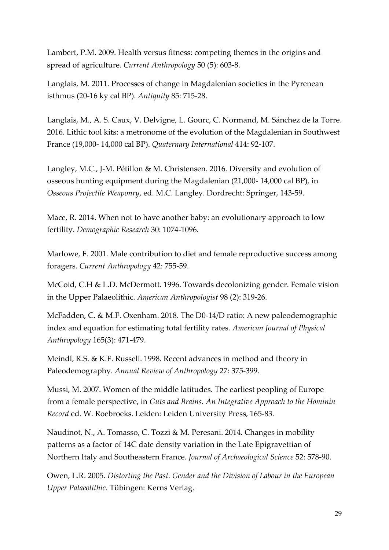Lambert, P.M. 2009. Health versus fitness: competing themes in the origins and spread of agriculture. *Current Anthropology* 50 (5): 603-8.

Langlais, M. 2011. Processes of change in Magdalenian societies in the Pyrenean isthmus (20-16 ky cal BP). *Antiquity* 85: 715-28.

Langlais, M., A. S. Caux, V. Delvigne, L. Gourc, C. Normand, M. Sánchez de la Torre. 2016. Lithic tool kits: a metronome of the evolution of the Magdalenian in Southwest France (19,000- 14,000 cal BP). *Quaternary International* 414: 92-107.

Langley, M.C., J-M. Pétillon & M. Christensen. 2016. Diversity and evolution of osseous hunting equipment during the Magdalenian (21,000- 14,000 cal BP), in *Osseous Projectile Weaponry*, ed. M.C. Langley. Dordrecht: Springer, 143-59.

Mace, R. 2014. When not to have another baby: an evolutionary approach to low fertility. *Demographic Research* 30: 1074-1096.

Marlowe, F. 2001. Male contribution to diet and female reproductive success among foragers. *Current Anthropology* 42: 755-59.

McCoid, C.H & L.D. McDermott. 1996. Towards decolonizing gender. Female vision in the Upper Palaeolithic. *American Anthropologist* 98 (2): 319-26.

McFadden, C. & M.F. Oxenham. 2018. The D0‐14/D ratio: A new paleodemographic index and equation for estimating total fertility rates. *American Journal of Physical Anthropology* 165(3): 471-479.

Meindl, R.S. & K.F. Russell. 1998. Recent advances in method and theory in Paleodemography. *Annual Review of Anthropology* 27: 375-399.

Mussi, M. 2007. Women of the middle latitudes. The earliest peopling of Europe from a female perspective, in *Guts and Brains. An Integrative Approach to the Hominin Record* ed. W. Roebroeks. Leiden: Leiden University Press, 165-83.

Naudinot, N., A. Tomasso, C. Tozzi & M. Peresani. 2014. Changes in mobility patterns as a factor of 14C date density variation in the Late Epigravettian of Northern Italy and Southeastern France. *Journal of Archaeological Science* 52: 578-90.

Owen, L.R. 2005. *Distorting the Past. Gender and the Division of Labour in the European Upper Palaeolithic*. Tübingen: Kerns Verlag.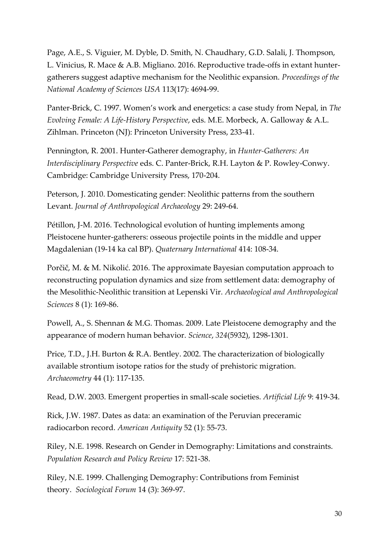Page, A.E., S. Viguier, M. Dyble, D. Smith, N. Chaudhary, G.D. Salali, J. Thompson, L. Vinicius, R. Mace & A.B. Migliano. 2016. Reproductive trade-offs in extant huntergatherers suggest adaptive mechanism for the Neolithic expansion. *Proceedings of the National Academy of Sciences USA* 113(17): 4694-99.

Panter-Brick, C. 1997. Women's work and energetics: a case study from Nepal, in *The Evolving Female: A Life-History Perspective*, eds. M.E. Morbeck, A. Galloway & A.L. Zihlman. Princeton (NJ): Princeton University Press, 233-41.

Pennington, R. 2001. Hunter-Gatherer demography, in *Hunter-Gatherers: An Interdisciplinary Perspective* eds. C. Panter-Brick, R.H. Layton & P. Rowley-Conwy. Cambridge: Cambridge University Press, 170-204.

Peterson, J. 2010. Domesticating gender: Neolithic patterns from the southern Levant. *Journal of Anthropological Archaeology* 29: 249-64.

Pétillon, J-M. 2016. Technological evolution of hunting implements among Pleistocene hunter-gatherers: osseous projectile points in the middle and upper Magdalenian (19-14 ka cal BP). *Quaternary International* 414: 108-34.

Porčič, M. & M. Nikolić. 2016. The approximate Bayesian computation approach to reconstructing population dynamics and size from settlement data: demography of the Mesolithic-Neolithic transition at Lepenski Vir. *Archaeological and Anthropological Sciences* 8 (1): 169-86.

Powell, A., S. Shennan & M.G. Thomas. 2009. Late Pleistocene demography and the appearance of modern human behavior. *Science*, *324*(5932), 1298-1301.

Price, T.D., J.H. Burton & R.A. Bentley. 2002. The characterization of biologically available strontium isotope ratios for the study of prehistoric migration. *Archaeometry* 44 (1): 117-135.

Read, D.W. 2003. Emergent properties in small-scale societies. *Artificial Life* 9: 419-34.

Rick, J.W. 1987. Dates as data: an examination of the Peruvian preceramic radiocarbon record. *American Antiquity* 52 (1): 55-73.

Riley, N.E. 1998. Research on Gender in Demography: Limitations and constraints. *Population Research and Policy Review* 17: 521-38.

Riley, N.E. 1999. Challenging Demography: Contributions from Feminist theory. *Sociological Forum* 14 (3): 369-97.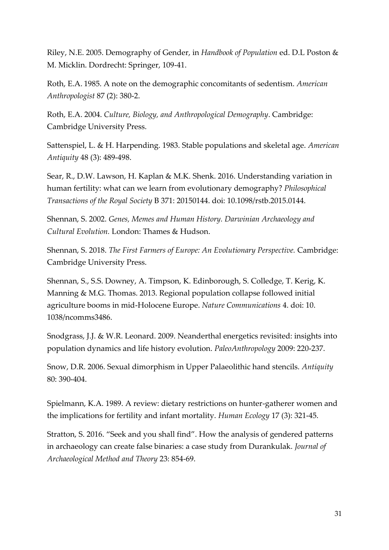Riley, N.E. 2005. Demography of Gender, in *Handbook of Population* ed. D.L Poston & M. Micklin. Dordrecht: Springer, 109-41.

Roth, E.A. 1985. A note on the demographic concomitants of sedentism. *American Anthropologist* 87 (2): 380-2.

Roth, E.A. 2004. *Culture, Biology, and Anthropological Demography*. Cambridge: Cambridge University Press.

Sattenspiel, L. & H. Harpending. 1983. Stable populations and skeletal age. *American Antiquity* 48 (3): 489-498.

Sear, R., D.W. Lawson, H. Kaplan & M.K. Shenk. 2016. Understanding variation in human fertility: what can we learn from evolutionary demography? *Philosophical Transactions of the Royal Society* B 371: 20150144. doi: 10.1098/rstb.2015.0144.

Shennan, S. 2002. *Genes, Memes and Human History. Darwinian Archaeology and Cultural Evolution.* London: Thames & Hudson.

Shennan, S. 2018. *The First Farmers of Europe: An Evolutionary Perspective.* Cambridge: Cambridge University Press.

Shennan, S., S.S. Downey, A. Timpson, K. Edinborough, S. Colledge, T. Kerig, K. Manning & M.G. Thomas. 2013. Regional population collapse followed initial agriculture booms in mid-Holocene Europe. *Nature Communications* 4. doi: 10. 1038/ncomms3486.

Snodgrass, J.J. & W.R. Leonard. 2009. Neanderthal energetics revisited: insights into population dynamics and life history evolution. *PaleoAnthropology* 2009: 220-237.

Snow, D.R. 2006. Sexual dimorphism in Upper Palaeolithic hand stencils. *Antiquity* 80: 390-404.

Spielmann, K.A. 1989. A review: dietary restrictions on hunter-gatherer women and the implications for fertility and infant mortality. *Human Ecology* 17 (3): 321-45.

Stratton, S. 2016. "Seek and you shall find". How the analysis of gendered patterns in archaeology can create false binaries: a case study from Durankulak. *Journal of Archaeological Method and Theory* 23: 854-69.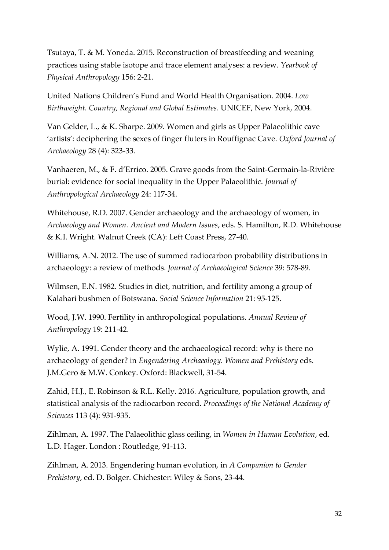Tsutaya, T. & M. Yoneda. 2015. Reconstruction of breastfeeding and weaning practices using stable isotope and trace element analyses: a review. *Yearbook of Physical Anthropology* 156: 2-21.

United Nations Children's Fund and World Health Organisation. 2004. *Low Birthweight. Country, Regional and Global Estimates*. UNICEF, New York, 2004.

Van Gelder, L., & K. Sharpe. 2009. Women and girls as Upper Palaeolithic cave 'artists': deciphering the sexes of finger fluters in Rouffignac Cave. *Oxford Journal of Archaeology* 28 (4): 323-33.

Vanhaeren, M., & F. d'Errico. 2005. Grave goods from the Saint-Germain-la-Rivière burial: evidence for social inequality in the Upper Palaeolithic. *Journal of Anthropological Archaeology* 24: 117-34.

Whitehouse, R.D. 2007. Gender archaeology and the archaeology of women, in *Archaeology and Women. Ancient and Modern Issues*, eds. S. Hamilton, R.D. Whitehouse & K.I. Wright. Walnut Creek (CA): Left Coast Press, 27-40.

Williams, A.N. 2012. The use of summed radiocarbon probability distributions in archaeology: a review of methods. *Journal of Archaeological Science* 39: 578-89.

Wilmsen, E.N. 1982. Studies in diet, nutrition, and fertility among a group of Kalahari bushmen of Botswana. *Social Science Information* 21: 95-125.

Wood, J.W. 1990. Fertility in anthropological populations. *Annual Review of Anthropology* 19: 211-42.

Wylie, A. 1991. Gender theory and the archaeological record: why is there no archaeology of gender? in *Engendering Archaeology. Women and Prehistory* eds. J.M.Gero & M.W. Conkey. Oxford: Blackwell, 31-54.

Zahid, H.J., E. Robinson & R.L. Kelly. 2016. Agriculture, population growth, and statistical analysis of the radiocarbon record. *Proceedings of the National Academy of Sciences* 113 (4): 931-935.

Zihlman, A. 1997. The Palaeolithic glass ceiling, in *Women in Human Evolution*, ed. L.D. Hager. London : Routledge, 91-113.

Zihlman, A. 2013. Engendering human evolution, in *A Companion to Gender Prehistory*, ed. D. Bolger. Chichester: Wiley & Sons, 23-44.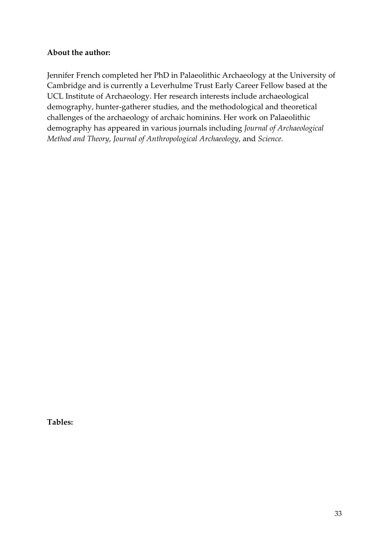## **About the author:**

Jennifer French completed her PhD in Palaeolithic Archaeology at the University of Cambridge and is currently a Leverhulme Trust Early Career Fellow based at the UCL Institute of Archaeology. Her research interests include archaeological demography, hunter-gatherer studies, and the methodological and theoretical challenges of the archaeology of archaic hominins. Her work on Palaeolithic demography has appeared in various journals including *Journal of Archaeological Method and Theory*, *Journal of Anthropological Archaeology*, and *Science.*

**Tables:**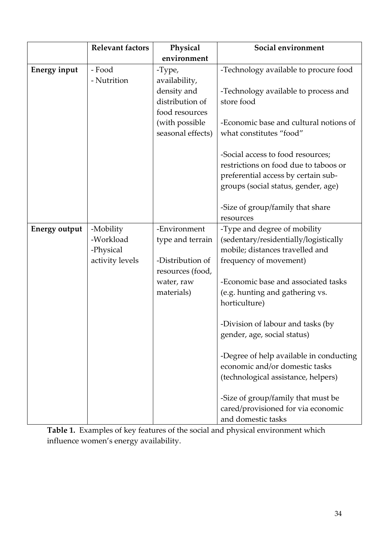| <b>Relevant factors</b> | Physical          | Social environment                      |
|-------------------------|-------------------|-----------------------------------------|
|                         | environment       |                                         |
| - Food                  | -Type,            | -Technology available to procure food   |
| - Nutrition             | availability,     |                                         |
|                         | density and       | -Technology available to process and    |
|                         | distribution of   | store food                              |
|                         | food resources    |                                         |
|                         | (with possible    | -Economic base and cultural notions of  |
|                         | seasonal effects) | what constitutes "food"                 |
|                         |                   |                                         |
|                         |                   | -Social access to food resources;       |
|                         |                   | restrictions on food due to taboos or   |
|                         |                   | preferential access by certain sub-     |
|                         |                   | groups (social status, gender, age)     |
|                         |                   |                                         |
|                         |                   | -Size of group/family that share        |
|                         |                   | resources                               |
| -Mobility               | -Environment      | -Type and degree of mobility            |
| -Workload               | type and terrain  | (sedentary/residentially/logistically   |
| -Physical               |                   | mobile; distances travelled and         |
| activity levels         | -Distribution of  | frequency of movement)                  |
|                         | resources (food,  |                                         |
|                         | water, raw        | -Economic base and associated tasks     |
|                         |                   | (e.g. hunting and gathering vs.         |
|                         |                   | horticulture)                           |
|                         |                   |                                         |
|                         |                   | -Division of labour and tasks (by       |
|                         |                   | gender, age, social status)             |
|                         |                   |                                         |
|                         |                   | -Degree of help available in conducting |
|                         |                   | economic and/or domestic tasks          |
|                         |                   | (technological assistance, helpers)     |
|                         |                   | -Size of group/family that must be      |
|                         |                   | cared/provisioned for via economic      |
|                         |                   | and domestic tasks                      |
|                         |                   | materials)                              |

**Table 1.** Examples of key features of the social and physical environment which influence women's energy availability.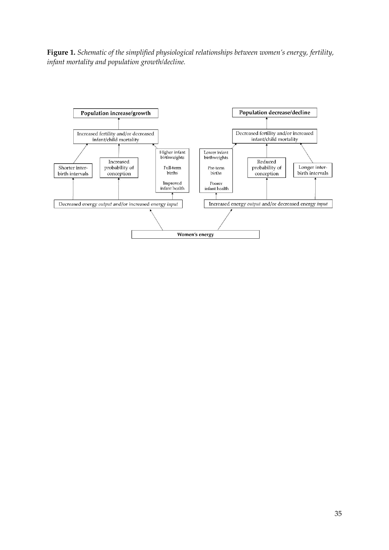**Figure 1.** *Schematic of the simplified physiological relationships between women's energy, fertility, infant mortality and population growth/decline.*